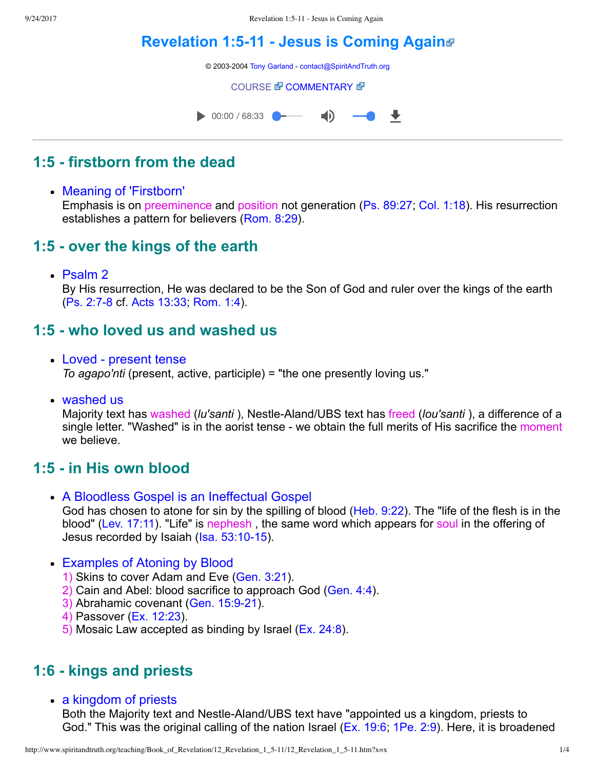# **Revelation 1:5-11 - Jesus is Coming Again**®

© 2003-2004 [Tony Garland](http://www.spiritandtruth.org/teaching/teachers/tony_garland/bio.htm) - [contact@SpiritAndTruth.org](mailto:contact@SpiritAndTruth.org?subject=ST-MAIL:%20Revelation%201:5-11%20-%20Jesus%20is%20Coming%20Again)

**[COURSE](http://www.spiritandtruth.org/teaching/Book_of_Revelation/12_Revelation_1_5-11/index.htm) & [COMMENTARY](http://www.spiritandtruth.org/teaching/Book_of_Revelation/commentary/htm/index.html?Revelation_1:5) &** 



# **1:5 firstborn from the dead**

Meaning of 'Firstborn'

Emphasis is on preeminence and position not generation ([Ps. 89:27](http://www.spiritandtruth.org/bibles/nasb/b19c089.htm#Ps._C89V27); [Col. 1:18](http://www.spiritandtruth.org/bibles/nasb/b51c001.htm#Col._C1V18)). His resurrection establishes a pattern for believers ([Rom. 8:29](http://www.spiritandtruth.org/bibles/nasb/b45c008.htm#Rom._C8V29)).

### **1:5 over the kings of the earth**

• Psalm 2

By His resurrection, He was declared to be the Son of God and ruler over the kings of the earth (Ps. 2:7-8 cf. [Acts 13:33](http://www.spiritandtruth.org/bibles/nasb/b44c013.htm#Acts_C13V33); [Rom. 1:4\)](http://www.spiritandtruth.org/bibles/nasb/b45c001.htm#Rom._C1V4).

#### **1:5 who loved us and washed us**

- Loved present tense *To agapo'nti* (present, active, participle) = "the one presently loving us."
- washed us

Majority text has washed (*lu'santi* ), NestleAland/UBS text has freed (*lou'santi* ), a difference of a single letter. "Washed" is in the aorist tense - we obtain the full merits of His sacrifice the moment we believe.

#### **1:5 in His own blood**

- A Bloodless Gospel is an Ineffectual Gospel God has chosen to atone for sin by the spilling of blood ([Heb. 9:22\)](http://www.spiritandtruth.org/bibles/nasb/b58c009.htm#Heb._C9V22). The "life of the flesh is in the blood" [\(Lev. 17:11](http://www.spiritandtruth.org/bibles/nasb/b03c017.htm#Lev._C17V11)). "Life" is nephesh , the same word which appears for soul in the offering of Jesus recorded by Isaiah (Isa. 53:10-15).
- Examples of Atoning by Blood
	- 1) Skins to cover Adam and Eve ([Gen. 3:21\)](http://www.spiritandtruth.org/bibles/nasb/b01c003.htm#Gen._C3V21).
	- 2) Cain and Abel: blood sacrifice to approach God [\(Gen. 4:4](http://www.spiritandtruth.org/bibles/nasb/b01c004.htm#Gen._C4V4)).
	- 3) Abrahamic covenant (Gen. 15:9-21).
	- 4) Passover [\(Ex. 12:23](http://www.spiritandtruth.org/bibles/nasb/b02c012.htm#Ex._C12V23)).
	- 5) Mosaic Law accepted as binding by Israel ([Ex. 24:8\)](http://www.spiritandtruth.org/bibles/nasb/b02c024.htm#Ex._C24V8).

#### **1:6 kings and priests**

• a kingdom of priests

Both the Majority text and Nestle-Aland/UBS text have "appointed us a kingdom, priests to God." This was the original calling of the nation Israel ([Ex. 19:6;](http://www.spiritandtruth.org/bibles/nasb/b02c019.htm#Ex._C19V6) [1Pe. 2:9](http://www.spiritandtruth.org/bibles/nasb/b60c002.htm#1Pe._C2V9)). Here, it is broadened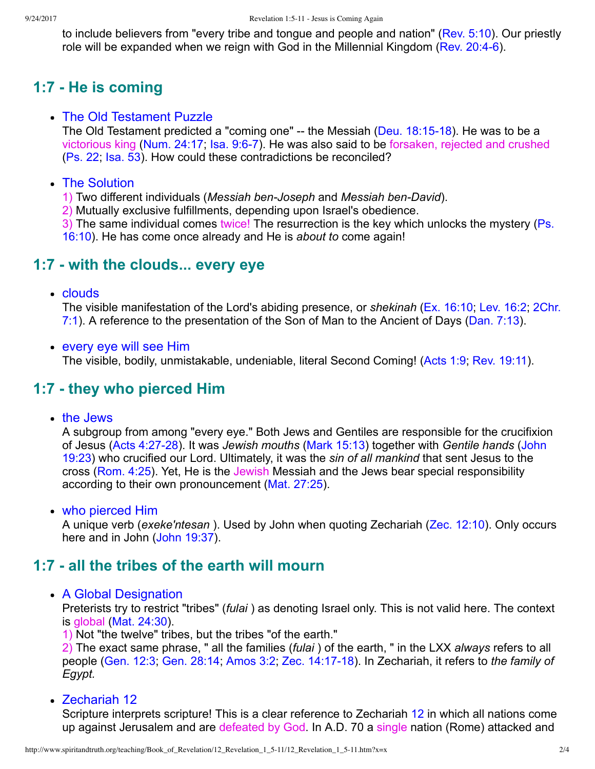to include believers from "every tribe and tongue and people and nation" [\(Rev. 5:10](http://www.spiritandtruth.org/bibles/nasb/b66c005.htm#Rev._C5V10)). Our priestly role will be expanded when we reign with God in the Millennial Kingdom (Rev. 20:4-6).

# **1:7 He is coming**

#### • The Old Testament Puzzle

The Old Testament predicted a "coming one"  $-$  the Messiah (Deu. 18:15-18). He was to be a victorious king [\(Num. 24:17;](http://www.spiritandtruth.org/bibles/nasb/b04c024.htm#Num._C24V17) [Isa. 9:67](http://www.spiritandtruth.org/bibles/nasb/b23c009.htm#Isa._C9V6)). He was also said to be forsaken, rejected and crushed [\(Ps. 22](http://www.spiritandtruth.org/bibles/nasb/b19c022.htm#Ps._C22V1); [Isa. 53\)](http://www.spiritandtruth.org/bibles/nasb/b23c053.htm#Isa._C53V1). How could these contradictions be reconciled?

#### • The Solution

1) Two different individuals (*Messiah ben-Joseph* and *Messiah ben-David*).

2) Mutually exclusive fulfillments, depending upon Israel's obedience.

[3\) The same individual comes twice! The resurrection is the key which unlocks the mystery \(Ps.](http://www.spiritandtruth.org/bibles/nasb/b19c016.htm#Ps._C16V10) 16:10). He has come once already and He is *about to* come again!

### **1:7 with the clouds... every eye**

• clouds

The visible manifestation of the Lord's abiding presence, or *shekinah* [\(Ex. 16:10;](http://www.spiritandtruth.org/bibles/nasb/b02c016.htm#Ex._C16V10) [Lev. 16:2](http://www.spiritandtruth.org/bibles/nasb/b03c016.htm#Lev._C16V2); 2Chr. [7:1\). A reference to the presentation of the Son of Man to the Ancient of Days \(Dan. 7:13\).](http://www.spiritandtruth.org/bibles/nasb/b14c007.htm#2Chr._C7V1)

every eye will see Him

The visible, bodily, unmistakable, undeniable, literal Second Coming! [\(Acts 1:9;](http://www.spiritandtruth.org/bibles/nasb/b44c001.htm#Acts_C1V9) [Rev. 19:11\)](http://www.spiritandtruth.org/bibles/nasb/b66c019.htm#Rev._C19V11).

#### **1:7 they who pierced Him**

• the Jews

A subgroup from among "every eye." Both Jews and Gentiles are responsible for the crucifixion of Jesus [\(Acts 4:2728](http://www.spiritandtruth.org/bibles/nasb/b44c004.htm#Acts_C4V27)). It was *Jewish mouths* ([Mark 15:13\)](http://www.spiritandtruth.org/bibles/nasb/b41c015.htm#Mark_C15V13) together with *Gentile hands* (John [19:23\) who crucified our Lord. Ultimately, it was the](http://www.spiritandtruth.org/bibles/nasb/b43c019.htm#John_C19V23) *sin of all mankind* that sent Jesus to the cross [\(Rom. 4:25\)](http://www.spiritandtruth.org/bibles/nasb/b45c004.htm#Rom._C4V25). Yet, He is the Jewish Messiah and the Jews bear special responsibility according to their own pronouncement ([Mat. 27:25\)](http://www.spiritandtruth.org/bibles/nasb/b40c027.htm#Mat._C27V25).

who pierced Him

A unique verb (*exeke'ntesan* ). Used by John when quoting Zechariah [\(Zec. 12:10\)](http://www.spiritandtruth.org/bibles/nasb/b38c012.htm#Zec._C12V10). Only occurs here and in John ([John 19:37](http://www.spiritandtruth.org/bibles/nasb/b43c019.htm#John_C19V37)).

### **1:7 all the tribes of the earth will mourn**

• A Global Designation

Preterists try to restrict "tribes" (*fulai* ) as denoting Israel only. This is not valid here. The context is global [\(Mat. 24:30](http://www.spiritandtruth.org/bibles/nasb/b40c024.htm#Mat._C24V30)).

1) Not "the twelve" tribes, but the tribes "of the earth."

2) The exact same phrase, " all the families (*fulai* ) of the earth, " in the LXX *always* refers to all people ([Gen. 12:3](http://www.spiritandtruth.org/bibles/nasb/b01c012.htm#Gen._C12V3); [Gen. 28:14](http://www.spiritandtruth.org/bibles/nasb/b01c028.htm#Gen._C28V14); [Amos 3:2;](http://www.spiritandtruth.org/bibles/nasb/b30c003.htm#Amos_C3V2) Zec. 14:17-18). In Zechariah, it refers to *the family of Egypt.*

Zechariah [12](http://www.spiritandtruth.org/bibles/nasb/b38c012.htm#Zec._C12V1)

Scripture interprets scripture! This is a clear reference to Zechariah [12](http://www.spiritandtruth.org/bibles/nasb/b38c012.htm#Zec._C12V1) in which all nations come up against Jerusalem and are defeated by God. In A.D. 70 a single nation (Rome) attacked and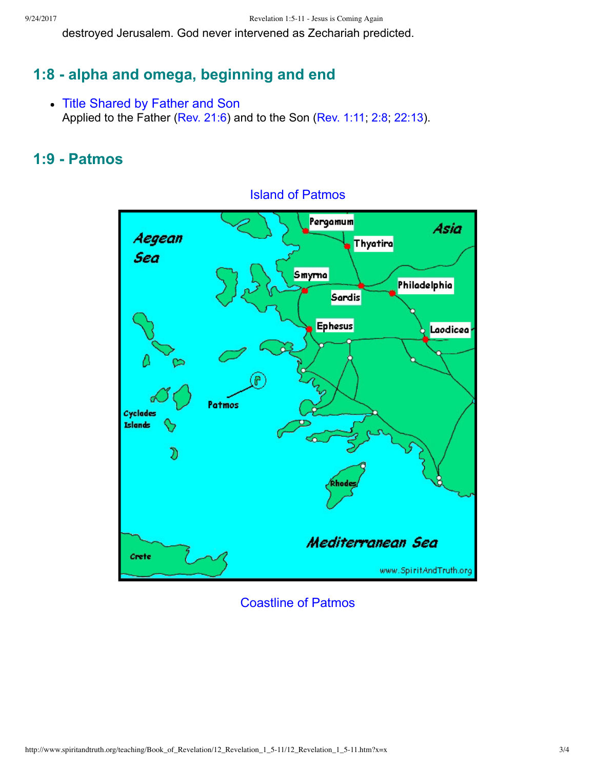destroyed Jerusalem. God never intervened as Zechariah predicted.

# **1:8 alpha and omega, beginning and end**

• Title Shared by Father and Son Applied to the Father ([Rev. 21:6\)](http://www.spiritandtruth.org/bibles/nasb/b66c021.htm#Rev._C21V6) and to the Son [\(Rev. 1:11;](http://www.spiritandtruth.org/bibles/nasb/b66c001.htm#Rev._C1V11) [2:8](http://www.spiritandtruth.org/bibles/nasb/b66c002.htm#Rev._C2V8); [22:13\)](http://www.spiritandtruth.org/bibles/nasb/b66c022.htm#Rev._C22V13).

### **1:9 Patmos**



#### Island of Patmos

Coastline of Patmos